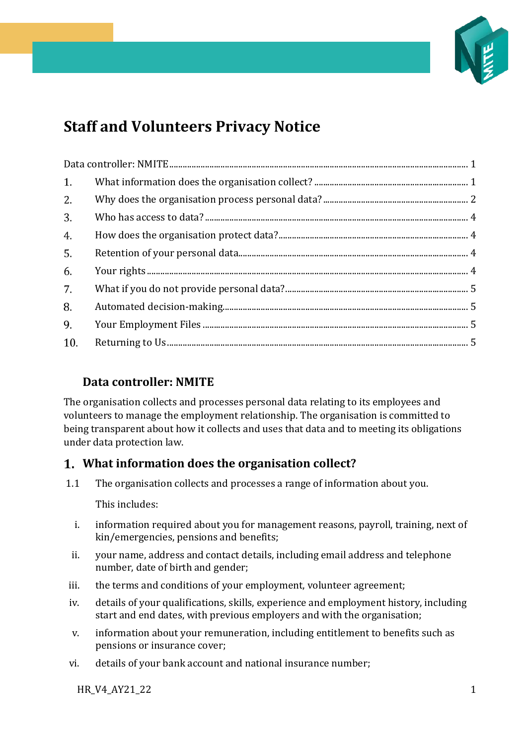

# **Staff and Volunteers Privacy Notice**

| 2.  |  |  |  |
|-----|--|--|--|
| 3.  |  |  |  |
| 4.  |  |  |  |
| 5.  |  |  |  |
| 6.  |  |  |  |
| 7.  |  |  |  |
| 8.  |  |  |  |
| 9.  |  |  |  |
| 10. |  |  |  |

# <span id="page-0-0"></span>**Data controller: NMITE**

The organisation collects and processes personal data relating to its employees and volunteers to manage the employment relationship. The organisation is committed to being transparent about how it collects and uses that data and to meeting its obligations under data protection law.

# <span id="page-0-1"></span>**What information does the organisation collect?**

1.1 The organisation collects and processes a range of information about you.

This includes:

- i. information required about you for management reasons, payroll, training, next of kin/emergencies, pensions and benefits;
- ii. your name, address and contact details, including email address and telephone number, date of birth and gender;
- iii. the terms and conditions of your employment, volunteer agreement;
- iv. details of your qualifications, skills, experience and employment history, including start and end dates, with previous employers and with the organisation;
- v. information about your remuneration, including entitlement to benefits such as pensions or insurance cover;
- vi. details of your bank account and national insurance number;

HR\_V4\_AY21\_22 1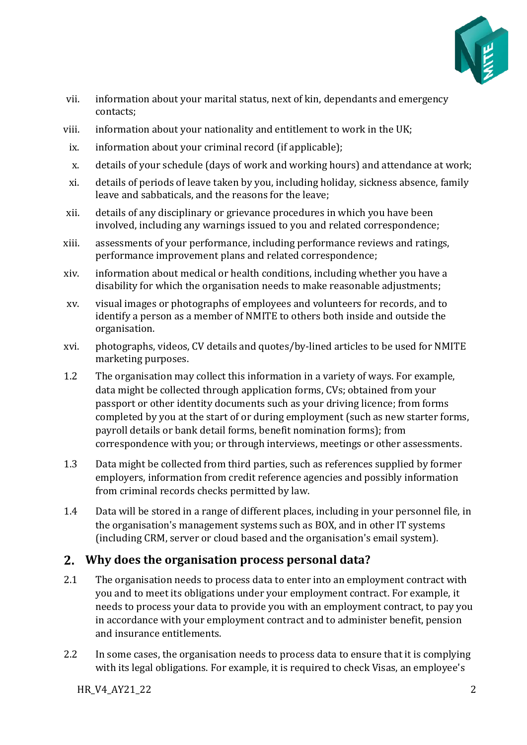

- vii. information about your marital status, next of kin, dependants and emergency contacts;
- viii. information about your nationality and entitlement to work in the UK;
- ix. information about your criminal record (if applicable);
- x. details of your schedule (days of work and working hours) and attendance at work;
- xi. details of periods of leave taken by you, including holiday, sickness absence, family leave and sabbaticals, and the reasons for the leave;
- xii. details of any disciplinary or grievance procedures in which you have been involved, including any warnings issued to you and related correspondence;
- xiii. assessments of your performance, including performance reviews and ratings, performance improvement plans and related correspondence;
- xiv. information about medical or health conditions, including whether you have a disability for which the organisation needs to make reasonable adjustments;
- xv. visual images or photographs of employees and volunteers for records, and to identify a person as a member of NMITE to others both inside and outside the organisation.
- xvi. photographs, videos, CV details and quotes/by-lined articles to be used for NMITE marketing purposes.
- 1.2 The organisation may collect this information in a variety of ways. For example, data might be collected through application forms, CVs; obtained from your passport or other identity documents such as your driving licence; from forms completed by you at the start of or during employment (such as new starter forms, payroll details or bank detail forms, benefit nomination forms); from correspondence with you; or through interviews, meetings or other assessments.
- 1.3 Data might be collected from third parties, such as references supplied by former employers, information from credit reference agencies and possibly information from criminal records checks permitted by law.
- 1.4 Data will be stored in a range of different places, including in your personnel file, in the organisation's management systems such as BOX, and in other IT systems (including CRM, server or cloud based and the organisation's email system).

## <span id="page-1-0"></span>**Why does the organisation process personal data?**

- 2.1 The organisation needs to process data to enter into an employment contract with you and to meet its obligations under your employment contract. For example, it needs to process your data to provide you with an employment contract, to pay you in accordance with your employment contract and to administer benefit, pension and insurance entitlements.
- 2.2 In some cases, the organisation needs to process data to ensure that it is complying with its legal obligations. For example, it is required to check Visas, an employee's

HR\_V4\_AY21\_22 2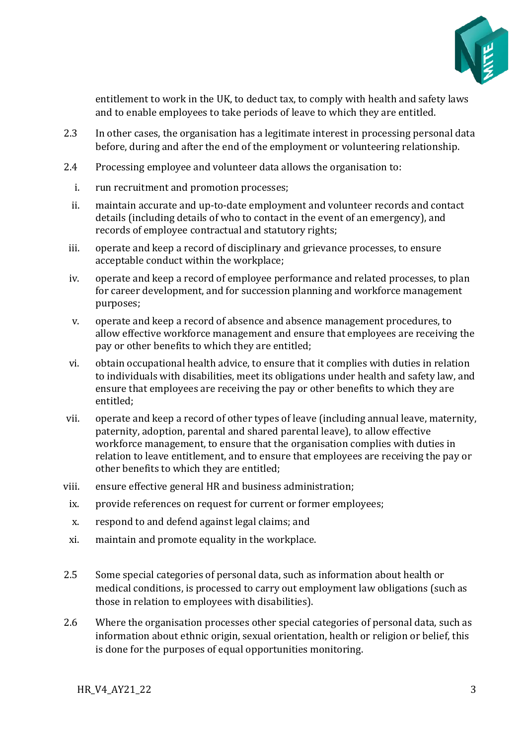

entitlement to work in the UK, to deduct tax, to comply with health and safety laws and to enable employees to take periods of leave to which they are entitled.

- 2.3 In other cases, the organisation has a legitimate interest in processing personal data before, during and after the end of the employment or volunteering relationship.
- 2.4 Processing employee and volunteer data allows the organisation to:
	- i. run recruitment and promotion processes;
	- ii. maintain accurate and up-to-date employment and volunteer records and contact details (including details of who to contact in the event of an emergency), and records of employee contractual and statutory rights;
- iii. operate and keep a record of disciplinary and grievance processes, to ensure acceptable conduct within the workplace;
- iv. operate and keep a record of employee performance and related processes, to plan for career development, and for succession planning and workforce management purposes;
- v. operate and keep a record of absence and absence management procedures, to allow effective workforce management and ensure that employees are receiving the pay or other benefits to which they are entitled;
- vi. obtain occupational health advice, to ensure that it complies with duties in relation to individuals with disabilities, meet its obligations under health and safety law, and ensure that employees are receiving the pay or other benefits to which they are entitled;
- vii. operate and keep a record of other types of leave (including annual leave, maternity, paternity, adoption, parental and shared parental leave), to allow effective workforce management, to ensure that the organisation complies with duties in relation to leave entitlement, and to ensure that employees are receiving the pay or other benefits to which they are entitled;
- viii. ensure effective general HR and business administration;
- ix. provide references on request for current or former employees;
- x. respond to and defend against legal claims; and
- xi. maintain and promote equality in the workplace.
- 2.5 Some special categories of personal data, such as information about health or medical conditions, is processed to carry out employment law obligations (such as those in relation to employees with disabilities).
- 2.6 Where the organisation processes other special categories of personal data, such as information about ethnic origin, sexual orientation, health or religion or belief, this is done for the purposes of equal opportunities monitoring.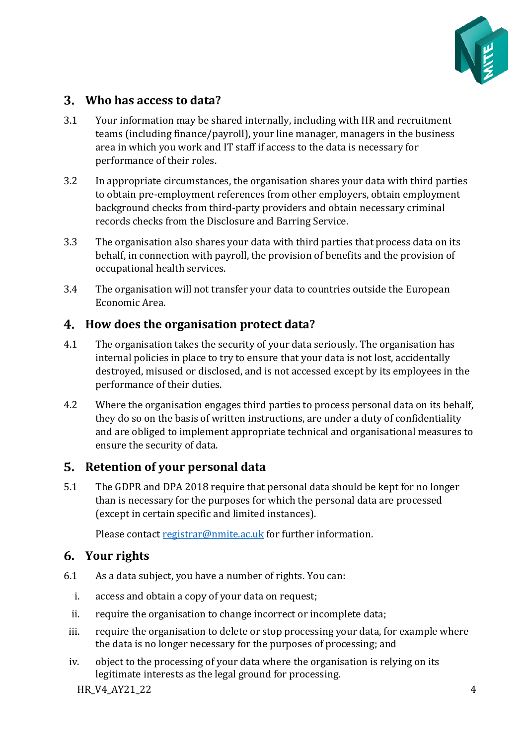

### <span id="page-3-0"></span>**Who has access to data?**

- 3.1 Your information may be shared internally, including with HR and recruitment teams (including finance/payroll), your line manager, managers in the business area in which you work and IT staff if access to the data is necessary for performance of their roles.
- 3.2 In appropriate circumstances, the organisation shares your data with third parties to obtain pre-employment references from other employers, obtain employment background checks from third-party providers and obtain necessary criminal records checks from the Disclosure and Barring Service.
- 3.3 The organisation also shares your data with third parties that process data on its behalf, in connection with payroll, the provision of benefits and the provision of occupational health services.
- 3.4 The organisation will not transfer your data to countries outside the European Economic Area.

#### <span id="page-3-1"></span>**How does the organisation protect data?**

- 4.1 The organisation takes the security of your data seriously. The organisation has internal policies in place to try to ensure that your data is not lost, accidentally destroyed, misused or disclosed, and is not accessed except by its employees in the performance of their duties.
- 4.2 Where the organisation engages third parties to process personal data on its behalf, they do so on the basis of written instructions, are under a duty of confidentiality and are obliged to implement appropriate technical and organisational measures to ensure the security of data.

#### <span id="page-3-2"></span>**Retention of your personal data**

5.1 The GDPR and DPA 2018 require that personal data should be kept for no longer than is necessary for the purposes for which the personal data are processed (except in certain specific and limited instances).

Please contac[t registrar@nmite.ac.uk](mailto:registrar@nmite.ac.uk) for further information.

## <span id="page-3-3"></span>**Your rights**

- 6.1 As a data subject, you have a number of rights. You can:
	- i. access and obtain a copy of your data on request;
	- ii. require the organisation to change incorrect or incomplete data;
	- iii. require the organisation to delete or stop processing your data, for example where the data is no longer necessary for the purposes of processing; and
	- iv. object to the processing of your data where the organisation is relying on its legitimate interests as the legal ground for processing.

 $HR$  V4 AY21 22 4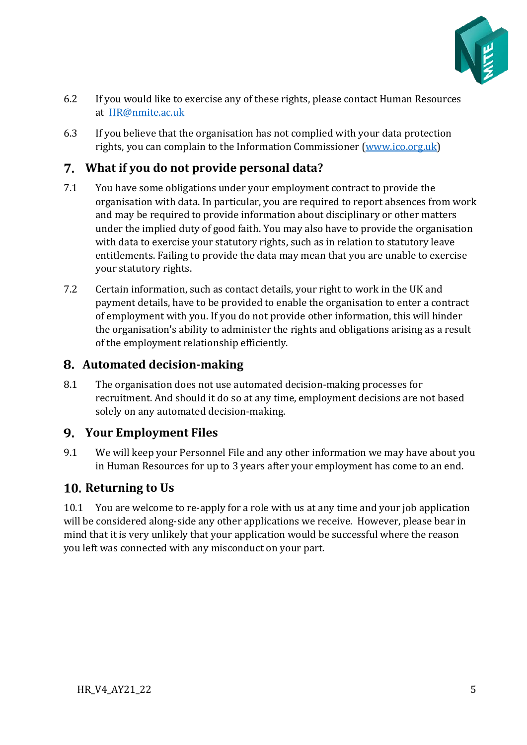

- 6.2 If you would like to exercise any of these rights, please contact Human Resources at [HR@nmite.ac.uk](mailto:HR@nmite.ac.uk)
- 6.3 If you believe that the organisation has not complied with your data protection rights, you can complain to the Information Commissioner [\(www.ico.org.uk\)](http://www.ico.org.uk/)

# <span id="page-4-0"></span>**What if you do not provide personal data?**

- 7.1 You have some obligations under your employment contract to provide the organisation with data. In particular, you are required to report absences from work and may be required to provide information about disciplinary or other matters under the implied duty of good faith. You may also have to provide the organisation with data to exercise your statutory rights, such as in relation to statutory leave entitlements. Failing to provide the data may mean that you are unable to exercise your statutory rights.
- 7.2 Certain information, such as contact details, your right to work in the UK and payment details, have to be provided to enable the organisation to enter a contract of employment with you. If you do not provide other information, this will hinder the organisation's ability to administer the rights and obligations arising as a result of the employment relationship efficiently.

## <span id="page-4-1"></span>**Automated decision-making**

8.1 The organisation does not use automated decision-making processes for recruitment. And should it do so at any time, employment decisions are not based solely on any automated decision-making.

## <span id="page-4-2"></span>**Your Employment Files**

9.1 We will keep your Personnel File and any other information we may have about you in Human Resources for up to 3 years after your employment has come to an end.

## <span id="page-4-3"></span>**10. Returning to Us**

10.1 You are welcome to re-apply for a role with us at any time and your job application will be considered along-side any other applications we receive. However, please bear in mind that it is very unlikely that your application would be successful where the reason you left was connected with any misconduct on your part.